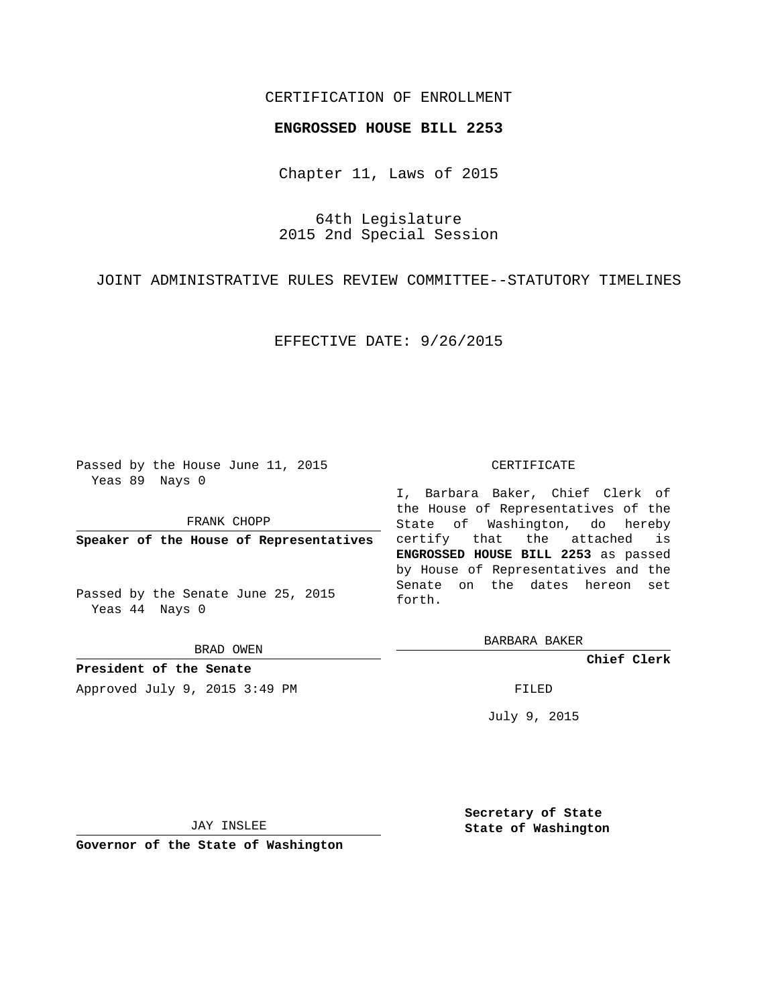## CERTIFICATION OF ENROLLMENT

## **ENGROSSED HOUSE BILL 2253**

Chapter 11, Laws of 2015

64th Legislature 2015 2nd Special Session

JOINT ADMINISTRATIVE RULES REVIEW COMMITTEE--STATUTORY TIMELINES

EFFECTIVE DATE: 9/26/2015

Passed by the House June 11, 2015 Yeas 89 Nays 0

FRANK CHOPP

**Speaker of the House of Representatives**

Passed by the Senate June 25, 2015 Yeas 44 Nays 0

BRAD OWEN

**President of the Senate** Approved July 9, 2015 3:49 PM FILED

## CERTIFICATE

I, Barbara Baker, Chief Clerk of the House of Representatives of the State of Washington, do hereby certify that the attached is **ENGROSSED HOUSE BILL 2253** as passed by House of Representatives and the Senate on the dates hereon set forth.

BARBARA BAKER

**Chief Clerk**

July 9, 2015

JAY INSLEE

**Governor of the State of Washington**

**Secretary of State State of Washington**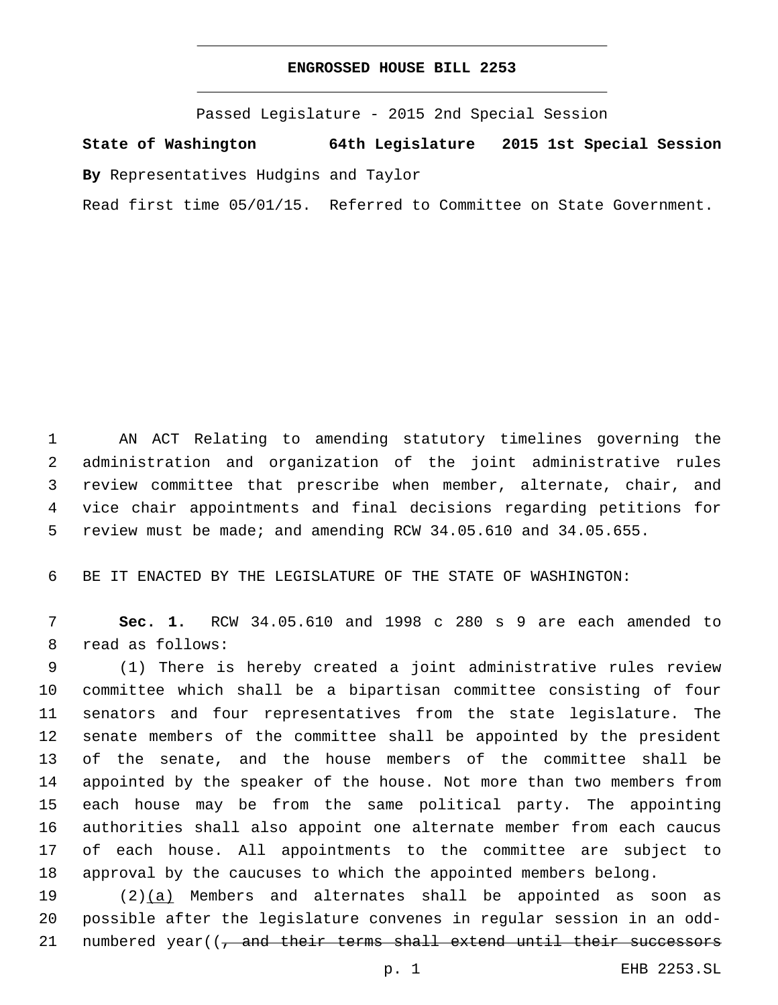## **ENGROSSED HOUSE BILL 2253**

Passed Legislature - 2015 2nd Special Session

**State of Washington 64th Legislature 2015 1st Special Session**

**By** Representatives Hudgins and Taylor

Read first time 05/01/15. Referred to Committee on State Government.

 AN ACT Relating to amending statutory timelines governing the administration and organization of the joint administrative rules review committee that prescribe when member, alternate, chair, and vice chair appointments and final decisions regarding petitions for review must be made; and amending RCW 34.05.610 and 34.05.655.

BE IT ENACTED BY THE LEGISLATURE OF THE STATE OF WASHINGTON:

 **Sec. 1.** RCW 34.05.610 and 1998 c 280 s 9 are each amended to 8 read as follows:

 (1) There is hereby created a joint administrative rules review committee which shall be a bipartisan committee consisting of four senators and four representatives from the state legislature. The senate members of the committee shall be appointed by the president of the senate, and the house members of the committee shall be appointed by the speaker of the house. Not more than two members from each house may be from the same political party. The appointing authorities shall also appoint one alternate member from each caucus of each house. All appointments to the committee are subject to approval by the caucuses to which the appointed members belong.

19 (2)(a) Members and alternates shall be appointed as soon as possible after the legislature convenes in regular session in an odd-21 numbered year((, and their terms shall extend until their successors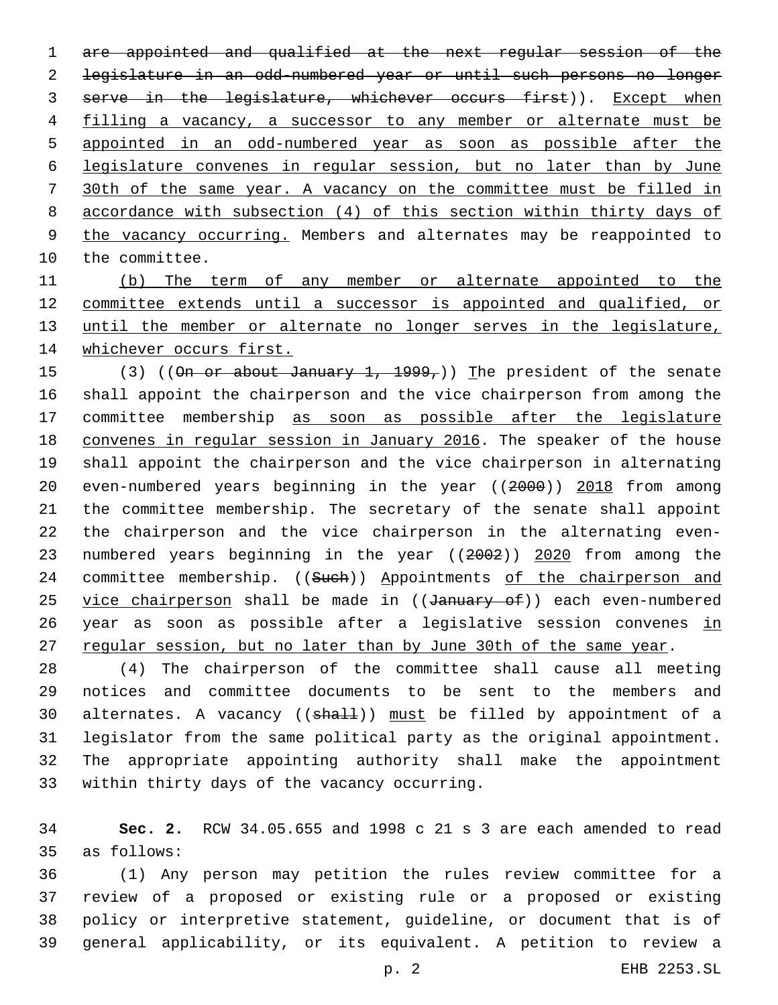are appointed and qualified at the next regular session of the legislature in an odd-numbered year or until such persons no longer 3 serve in the legislature, whichever occurs first)). Except when filling a vacancy, a successor to any member or alternate must be appointed in an odd-numbered year as soon as possible after the legislature convenes in regular session, but no later than by June 30th of the same year. A vacancy on the committee must be filled in accordance with subsection (4) of this section within thirty days of 9 the vacancy occurring. Members and alternates may be reappointed to 10 the committee.

 (b) The term of any member or alternate appointed to the committee extends until a successor is appointed and qualified, or until the member or alternate no longer serves in the legislature, whichever occurs first.

15 (3) ((On or about January 1, 1999,)) The president of the senate shall appoint the chairperson and the vice chairperson from among the committee membership as soon as possible after the legislature convenes in regular session in January 2016. The speaker of the house shall appoint the chairperson and the vice chairperson in alternating even-numbered years beginning in the year ((2000)) 2018 from among the committee membership. The secretary of the senate shall appoint the chairperson and the vice chairperson in the alternating even-23 numbered years beginning in the year ((2002)) 2020 from among the 24 committee membership. ((Such)) Appointments of the chairperson and 25 vice chairperson shall be made in ((January of)) each even-numbered 26 year as soon as possible after a legislative session convenes in 27 regular session, but no later than by June 30th of the same year.

 (4) The chairperson of the committee shall cause all meeting notices and committee documents to be sent to the members and 30 alternates. A vacancy ((shall)) must be filled by appointment of a legislator from the same political party as the original appointment. The appropriate appointing authority shall make the appointment 33 within thirty days of the vacancy occurring.

 **Sec. 2.** RCW 34.05.655 and 1998 c 21 s 3 are each amended to read as follows:35

 (1) Any person may petition the rules review committee for a review of a proposed or existing rule or a proposed or existing policy or interpretive statement, guideline, or document that is of general applicability, or its equivalent. A petition to review a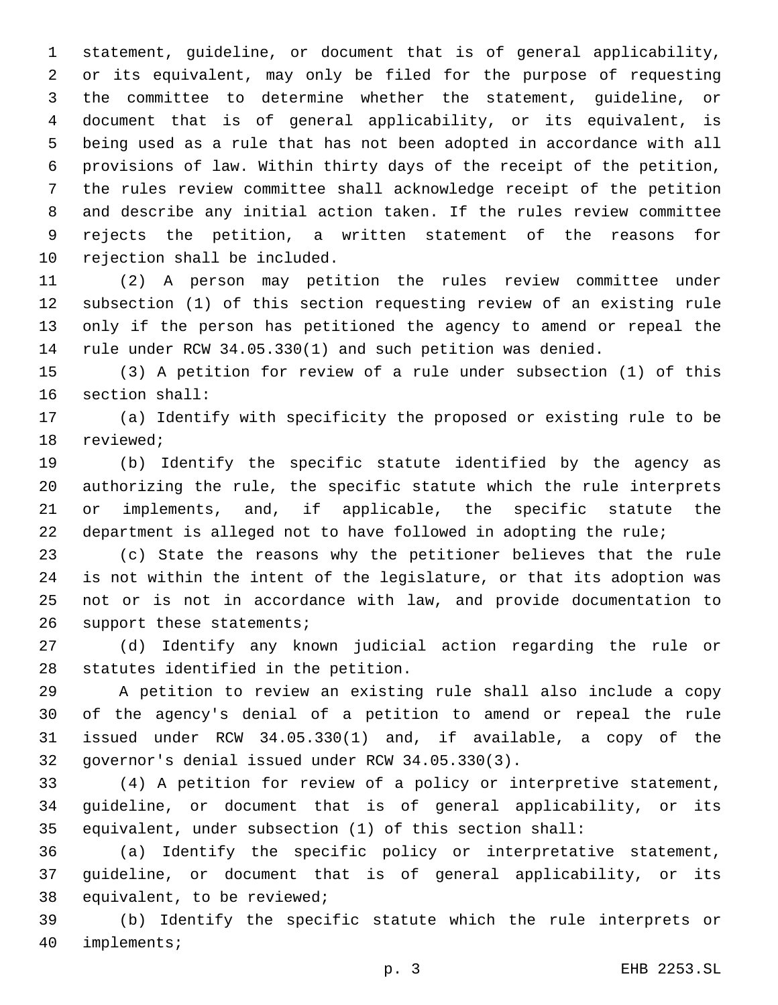statement, guideline, or document that is of general applicability, or its equivalent, may only be filed for the purpose of requesting the committee to determine whether the statement, guideline, or document that is of general applicability, or its equivalent, is being used as a rule that has not been adopted in accordance with all provisions of law. Within thirty days of the receipt of the petition, the rules review committee shall acknowledge receipt of the petition and describe any initial action taken. If the rules review committee rejects the petition, a written statement of the reasons for 10 rejection shall be included.

 (2) A person may petition the rules review committee under subsection (1) of this section requesting review of an existing rule only if the person has petitioned the agency to amend or repeal the rule under RCW 34.05.330(1) and such petition was denied.

 (3) A petition for review of a rule under subsection (1) of this 16 section shall:

 (a) Identify with specificity the proposed or existing rule to be 18 reviewed;

 (b) Identify the specific statute identified by the agency as authorizing the rule, the specific statute which the rule interprets or implements, and, if applicable, the specific statute the department is alleged not to have followed in adopting the rule;

 (c) State the reasons why the petitioner believes that the rule is not within the intent of the legislature, or that its adoption was not or is not in accordance with law, and provide documentation to 26 support these statements;

 (d) Identify any known judicial action regarding the rule or 28 statutes identified in the petition.

 A petition to review an existing rule shall also include a copy of the agency's denial of a petition to amend or repeal the rule issued under RCW 34.05.330(1) and, if available, a copy of the 32 governor's denial issued under RCW 34.05.330(3).

 (4) A petition for review of a policy or interpretive statement, guideline, or document that is of general applicability, or its equivalent, under subsection (1) of this section shall:

 (a) Identify the specific policy or interpretative statement, guideline, or document that is of general applicability, or its 38 equivalent, to be reviewed;

 (b) Identify the specific statute which the rule interprets or 40 implements;